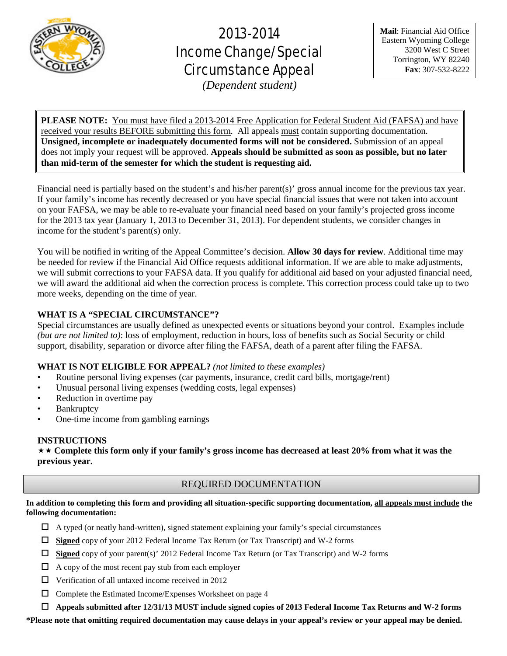

# 2013-2014 Income Change/Special Circumstance Appeal

*(Dependent student)*

**Mail**: Financial Aid Office Eastern Wyoming College 3200 West C Street Torrington, WY 82240 **Fax**: 307-532-8222

**PLEASE NOTE:** You must have filed a 2013-2014 Free Application for Federal Student Aid (FAFSA) and have received your results BEFORE submitting this form. All appeals must contain supporting documentation. **Unsigned, incomplete or inadequately documented forms will not be considered.** Submission of an appeal does not imply your request will be approved. **Appeals should be submitted as soon as possible, but no later than mid-term of the semester for which the student is requesting aid.**

Financial need is partially based on the student's and his/her parent(s)' gross annual income for the previous tax year. If your family's income has recently decreased or you have special financial issues that were not taken into account on your FAFSA, we may be able to re-evaluate your financial need based on your family's projected gross income for the 2013 tax year (January 1, 2013 to December 31, 2013). For dependent students, we consider changes in income for the student's parent(s) only.

You will be notified in writing of the Appeal Committee's decision. **Allow 30 days for review**. Additional time may be needed for review if the Financial Aid Office requests additional information. If we are able to make adjustments, we will submit corrections to your FAFSA data. If you qualify for additional aid based on your adjusted financial need, we will award the additional aid when the correction process is complete. This correction process could take up to two more weeks, depending on the time of year.

# **WHAT IS A "SPECIAL CIRCUMSTANCE"?**

Special circumstances are usually defined as unexpected events or situations beyond your control. Examples include *(but are not limited to)*: loss of employment, reduction in hours, loss of benefits such as Social Security or child support, disability, separation or divorce after filing the FAFSA, death of a parent after filing the FAFSA.

# **WHAT IS NOT ELIGIBLE FOR APPEAL?** *(not limited to these examples)*

- Routine personal living expenses (car payments, insurance, credit card bills, mortgage/rent)
- Unusual personal living expenses (wedding costs, legal expenses)
- Reduction in overtime pay
- **Bankruptcy**
- One-time income from gambling earnings

## **INSTRUCTIONS**

 **Complete this form only if your family's gross income has decreased at least 20% from what it was the previous year.**

# REQUIRED DOCUMENTATION

**In addition to completing this form and providing all situation-specific supporting documentation, all appeals must include the following documentation:**

- $\Box$  A typed (or neatly hand-written), signed statement explaining your family's special circumstances
- **Signed** copy of your 2012 Federal Income Tax Return (or Tax Transcript) and W-2 forms
- **Signed** copy of your parent(s)' 2012 Federal Income Tax Return (or Tax Transcript) and W-2 forms
- $\Box$  A copy of the most recent pay stub from each employer
- $\Box$  Verification of all untaxed income received in 2012
- $\Box$  Complete the Estimated Income/Expenses Worksheet on page 4
- **Appeals submitted after 12/31/13 MUST include signed copies of 2013 Federal Income Tax Returns and W-2 forms**

**\*Please note that omitting required documentation may cause delays in your appeal's review or your appeal may be denied.**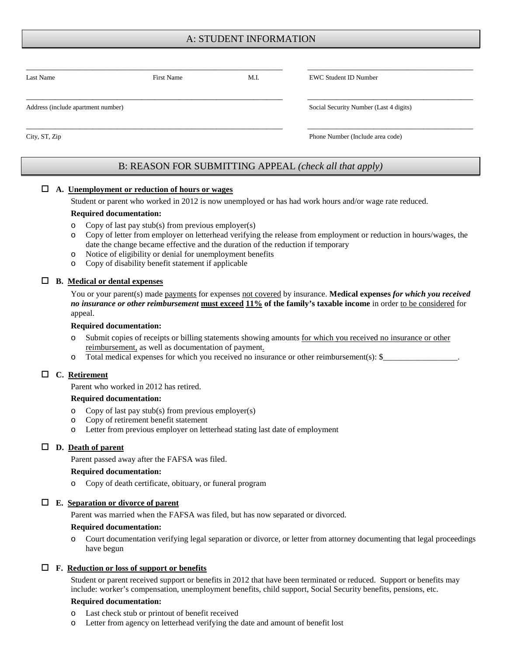# A: STUDENT INFORMATION

| Last Name                          | <b>First Name</b> | M.I. | <b>EWC Student ID Number</b>           |  |
|------------------------------------|-------------------|------|----------------------------------------|--|
| Address (include apartment number) |                   |      | Social Security Number (Last 4 digits) |  |
| City, ST, Zip                      |                   |      | Phone Number (Include area code)       |  |

# B: REASON FOR SUBMITTING APPEAL *(check all that apply)*

#### **A. Unemployment or reduction of hours or wages**

Student or parent who worked in 2012 is now unemployed or has had work hours and/or wage rate reduced.

#### **Required documentation:**

- o Copy of last pay stub(s) from previous employer(s)
- o Copy of letter from employer on letterhead verifying the release from employment or reduction in hours/wages, the date the change became effective and the duration of the reduction if temporary
- o Notice of eligibility or denial for unemployment benefits
- o Copy of disability benefit statement if applicable

#### **B. Medical or dental expenses**

You or your parent(s) made payments for expenses not covered by insurance. Medical expenses *for which you received no insurance or other reimbursement* **must exceed 11% of the family's taxable income** in order to be considered for appeal.

#### **Required documentation:**

- o Submit copies of receipts or billing statements showing amounts for which you received no insurance or other reimbursement, as well as documentation of payment.
- o Total medical expenses for which you received no insurance or other reimbursement(s): \$\_

#### **C. Retirement**

Parent who worked in 2012 has retired.

#### **Required documentation:**

- o Copy of last pay stub(s) from previous employer(s)
- o Copy of retirement benefit statement
- o Letter from previous employer on letterhead stating last date of employment

#### **D. Death of parent**

Parent passed away after the FAFSA was filed.

#### **Required documentation:**

o Copy of death certificate, obituary, or funeral program

#### **E. Separation or divorce of parent**

Parent was married when the FAFSA was filed, but has now separated or divorced.

#### **Required documentation:**

o Court documentation verifying legal separation or divorce, or letter from attorney documenting that legal proceedings have begun

#### **F. Reduction or loss of support or benefits**

Student or parent received support or benefits in 2012 that have been terminated or reduced. Support or benefits may include: worker's compensation, unemployment benefits, child support, Social Security benefits, pensions, etc.

#### **Required documentation:**

- o Last check stub or printout of benefit received
- Letter from agency on letterhead verifying the date and amount of benefit lost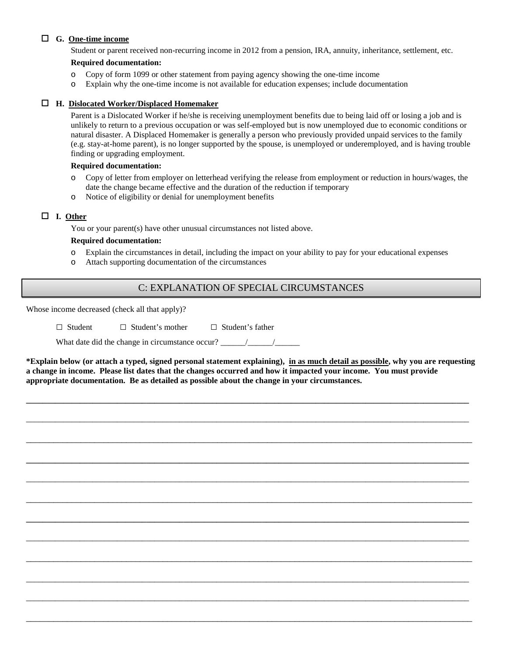## **G. One-time income**

Student or parent received non-recurring income in 2012 from a pension, IRA, annuity, inheritance, settlement, etc.

## **Required documentation:**

- o Copy of form 1099 or other statement from paying agency showing the one-time income
- o Explain why the one-time income is not available for education expenses; include documentation

### **H. Dislocated Worker/Displaced Homemaker**

Parent is a Dislocated Worker if he/she is receiving unemployment benefits due to being laid off or losing a job and is unlikely to return to a previous occupation or was self-employed but is now unemployed due to economic conditions or natural disaster. A Displaced Homemaker is generally a person who previously provided unpaid services to the family (e.g. stay-at-home parent), is no longer supported by the spouse, is unemployed or underemployed, and is having trouble finding or upgrading employment.

#### **Required documentation:**

- o Copy of letter from employer on letterhead verifying the release from employment or reduction in hours/wages, the date the change became effective and the duration of the reduction if temporary
- o Notice of eligibility or denial for unemployment benefits

## **I. Other**

You or your parent(s) have other unusual circumstances not listed above.

#### **Required documentation:**

- o Explain the circumstances in detail, including the impact on your ability to pay for your educational expenses
- o Attach supporting documentation of the circumstances

# C: EXPLANATION OF SPECIAL CIRCUMSTANCES

Whose income decreased (check all that apply)?

□ Student □ Student's mother □ Student's father

What date did the change in circumstance occur?  $\frac{\sqrt{2}}{2}$ 

**\*Explain below (or attach a typed, signed personal statement explaining), in as much detail as possible, why you are requesting a change in income. Please list dates that the changes occurred and how it impacted your income. You must provide appropriate documentation. Be as detailed as possible about the change in your circumstances.**

**\_\_\_\_\_\_\_\_\_\_\_\_\_\_\_\_\_\_\_\_\_\_\_\_\_\_\_\_\_\_\_\_\_\_\_\_\_\_\_\_\_\_\_\_\_\_\_\_\_\_\_\_\_\_\_\_\_\_\_\_\_\_\_\_\_\_\_\_\_\_\_\_\_\_\_\_\_\_\_\_\_\_\_\_\_\_\_\_\_\_\_\_\_\_\_\_\_\_\_\_\_\_\_\_\_\_\_**

\_\_\_\_\_\_\_\_\_\_\_\_\_\_\_\_\_\_\_\_\_\_\_\_\_\_\_\_\_\_\_\_\_\_\_\_\_\_\_\_\_\_\_\_\_\_\_\_\_\_\_\_\_\_\_\_\_\_\_\_\_\_\_\_\_\_\_\_\_\_\_\_\_\_\_\_\_\_\_\_\_\_\_\_\_\_\_\_\_\_\_\_\_\_\_\_\_\_\_\_\_\_\_\_\_\_\_

\_\_\_\_\_\_\_\_\_\_\_\_\_\_\_\_\_\_\_\_\_\_\_\_\_\_\_\_\_\_\_\_\_\_\_\_\_\_\_\_\_\_\_\_\_\_\_\_\_\_\_\_\_\_\_\_\_\_\_\_\_\_\_\_\_\_\_\_\_\_\_\_\_\_\_\_\_\_\_\_\_\_\_\_\_\_\_\_\_\_\_\_\_\_\_\_\_\_

**\_\_\_\_\_\_\_\_\_\_\_\_\_\_\_\_\_\_\_\_\_\_\_\_\_\_\_\_\_\_\_\_\_\_\_\_\_\_\_\_\_\_\_\_\_\_\_\_\_\_\_\_\_\_\_\_\_\_\_\_\_\_\_\_\_\_\_\_\_\_\_\_\_\_\_\_\_\_\_\_\_\_\_\_\_\_\_\_\_\_\_\_\_\_\_\_\_\_\_\_\_\_\_\_\_\_\_**

\_\_\_\_\_\_\_\_\_\_\_\_\_\_\_\_\_\_\_\_\_\_\_\_\_\_\_\_\_\_\_\_\_\_\_\_\_\_\_\_\_\_\_\_\_\_\_\_\_\_\_\_\_\_\_\_\_\_\_\_\_\_\_\_\_\_\_\_\_\_\_\_\_\_\_\_\_\_\_\_\_\_\_\_\_\_\_\_\_\_\_\_\_\_\_\_\_\_\_\_\_\_\_\_\_\_\_

\_\_\_\_\_\_\_\_\_\_\_\_\_\_\_\_\_\_\_\_\_\_\_\_\_\_\_\_\_\_\_\_\_\_\_\_\_\_\_\_\_\_\_\_\_\_\_\_\_\_\_\_\_\_\_\_\_\_\_\_\_\_\_\_\_\_\_\_\_\_\_\_\_\_\_\_\_\_\_\_\_\_\_\_\_\_\_\_\_\_\_\_\_\_\_\_\_\_

**\_\_\_\_\_\_\_\_\_\_\_\_\_\_\_\_\_\_\_\_\_\_\_\_\_\_\_\_\_\_\_\_\_\_\_\_\_\_\_\_\_\_\_\_\_\_\_\_\_\_\_\_\_\_\_\_\_\_\_\_\_\_\_\_\_\_\_\_\_\_\_\_\_\_\_\_\_\_\_\_\_\_\_\_\_\_\_\_\_\_\_\_\_\_\_\_\_\_\_\_\_\_\_\_\_\_\_**

\_\_\_\_\_\_\_\_\_\_\_\_\_\_\_\_\_\_\_\_\_\_\_\_\_\_\_\_\_\_\_\_\_\_\_\_\_\_\_\_\_\_\_\_\_\_\_\_\_\_\_\_\_\_\_\_\_\_\_\_\_\_\_\_\_\_\_\_\_\_\_\_\_\_\_\_\_\_\_\_\_\_\_\_\_\_\_\_\_\_\_\_\_\_\_\_\_\_\_\_\_\_\_\_\_\_\_

\_\_\_\_\_\_\_\_\_\_\_\_\_\_\_\_\_\_\_\_\_\_\_\_\_\_\_\_\_\_\_\_\_\_\_\_\_\_\_\_\_\_\_\_\_\_\_\_\_\_\_\_\_\_\_\_\_\_\_\_\_\_\_\_\_\_\_\_\_\_\_\_\_\_\_\_\_\_\_\_\_\_\_\_\_\_\_\_\_\_\_\_\_\_\_\_\_\_

\_\_\_\_\_\_\_\_\_\_\_\_\_\_\_\_\_\_\_\_\_\_\_\_\_\_\_\_\_\_\_\_\_\_\_\_\_\_\_\_\_\_\_\_\_\_\_\_\_\_\_\_\_\_\_\_\_\_\_\_\_\_\_\_\_\_\_\_\_\_\_\_\_\_\_\_\_\_\_\_\_\_\_\_\_\_\_\_\_\_\_\_\_\_\_\_\_\_\_\_\_\_\_\_\_\_\_

\_\_\_\_\_\_\_\_\_\_\_\_\_\_\_\_\_\_\_\_\_\_\_\_\_\_\_\_\_\_\_\_\_\_\_\_\_\_\_\_\_\_\_\_\_\_\_\_\_\_\_\_\_\_\_\_\_\_\_\_\_\_\_\_\_\_\_\_\_\_\_\_\_\_\_\_\_\_\_\_\_\_\_\_\_\_\_\_\_\_\_\_\_\_\_\_\_\_\_\_\_\_\_\_\_\_\_

\_\_\_\_\_\_\_\_\_\_\_\_\_\_\_\_\_\_\_\_\_\_\_\_\_\_\_\_\_\_\_\_\_\_\_\_\_\_\_\_\_\_\_\_\_\_\_\_\_\_\_\_\_\_\_\_\_\_\_\_\_\_\_\_\_\_\_\_\_\_\_\_\_\_\_\_\_\_\_\_\_\_\_\_\_\_\_\_\_\_\_\_\_\_\_\_\_\_